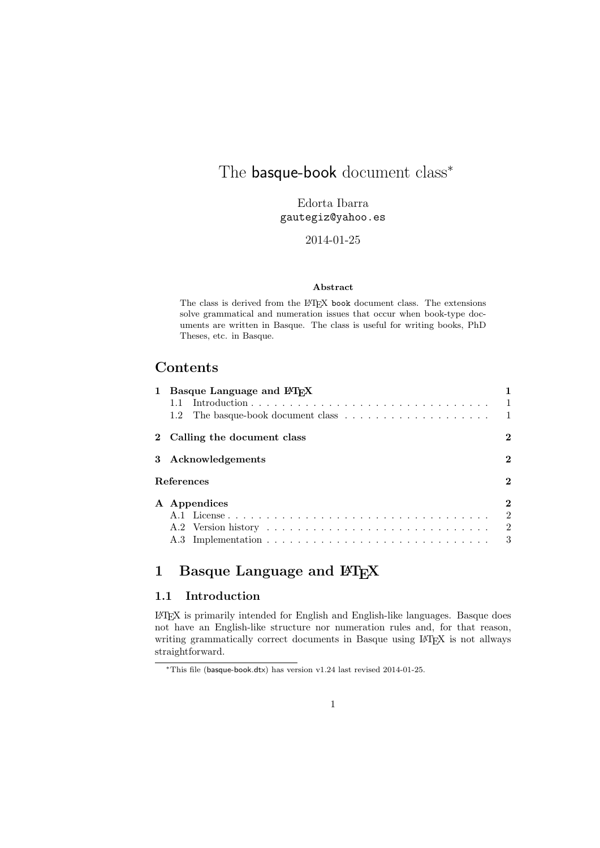# The basque-book document class<sup>\*</sup>

Edorta Ibarra gautegiz@yahoo.es

### 2014-01-25

#### Abstract

The class is derived from the LATEX book document class. The extensions solve grammatical and numeration issues that occur when book-type documents are written in Basque. The class is useful for writing books, PhD Theses, etc. in Basque.

## Contents

|            | 1 Basque Language and LAT <sub>F</sub> X |                  |
|------------|------------------------------------------|------------------|
|            |                                          | $\mathbf{1}$     |
|            |                                          |                  |
|            | 2 Calling the document class             | $\boldsymbol{2}$ |
|            | 3 Acknowledgements                       | $\boldsymbol{2}$ |
| References |                                          | $\overline{2}$   |
|            | A Appendices                             | $\boldsymbol{2}$ |
|            |                                          | $\overline{2}$   |
|            |                                          | $\overline{2}$   |
|            |                                          | 3                |

# 1 Basque Language and  $E_{E}X$

## 1.1 Introduction

LATEX is primarily intended for English and English-like languages. Basque does not have an English-like structure nor numeration rules and, for that reason, writing grammatically correct documents in Basque using LAT<sub>E</sub>X is not allways straightforward.

<sup>∗</sup>This file (basque-book.dtx) has version v1.24 last revised 2014-01-25.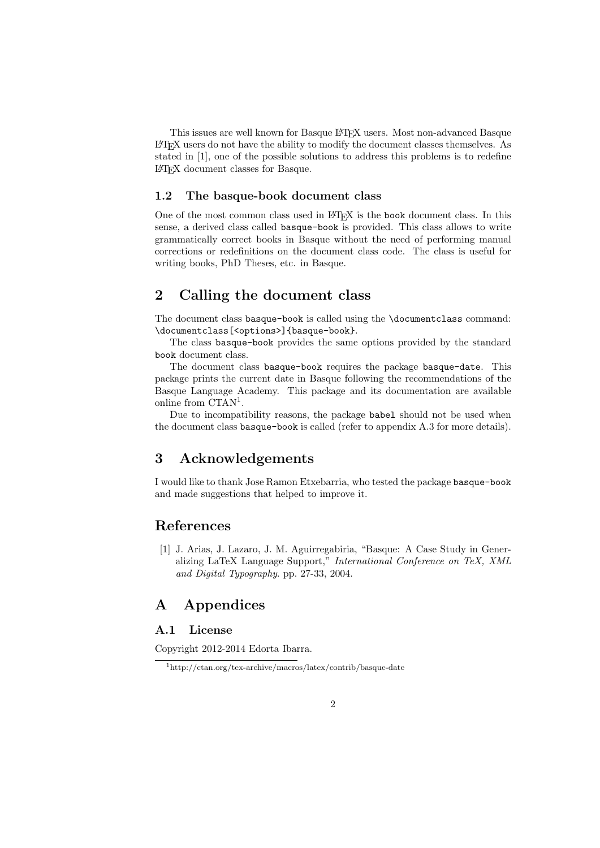This issues are well known for Basque LATEX users. Most non-advanced Basque LATEX users do not have the ability to modify the document classes themselves. As stated in [1], one of the possible solutions to address this problems is to redefine LATEX document classes for Basque.

#### 1.2 The basque-book document class

One of the most common class used in LAT<sub>EX</sub> is the book document class. In this sense, a derived class called basque-book is provided. This class allows to write grammatically correct books in Basque without the need of performing manual corrections or redefinitions on the document class code. The class is useful for writing books, PhD Theses, etc. in Basque.

# 2 Calling the document class

The document class basque-book is called using the \documentclass command: \documentclass[<options>]{basque-book}.

The class basque-book provides the same options provided by the standard book document class.

The document class basque-book requires the package basque-date. This package prints the current date in Basque following the recommendations of the Basque Language Academy. This package and its documentation are available online from CTAN<sup>1</sup>.

Due to incompatibility reasons, the package babel should not be used when the document class basque-book is called (refer to appendix A.3 for more details).

# 3 Acknowledgements

I would like to thank Jose Ramon Etxebarria, who tested the package basque-book and made suggestions that helped to improve it.

## References

[1] J. Arias, J. Lazaro, J. M. Aguirregabiria, "Basque: A Case Study in Generalizing LaTeX Language Support," International Conference on TeX, XML and Digital Typography. pp. 27-33, 2004.

# A Appendices

### A.1 License

Copyright 2012-2014 Edorta Ibarra.

<sup>1</sup>http://ctan.org/tex-archive/macros/latex/contrib/basque-date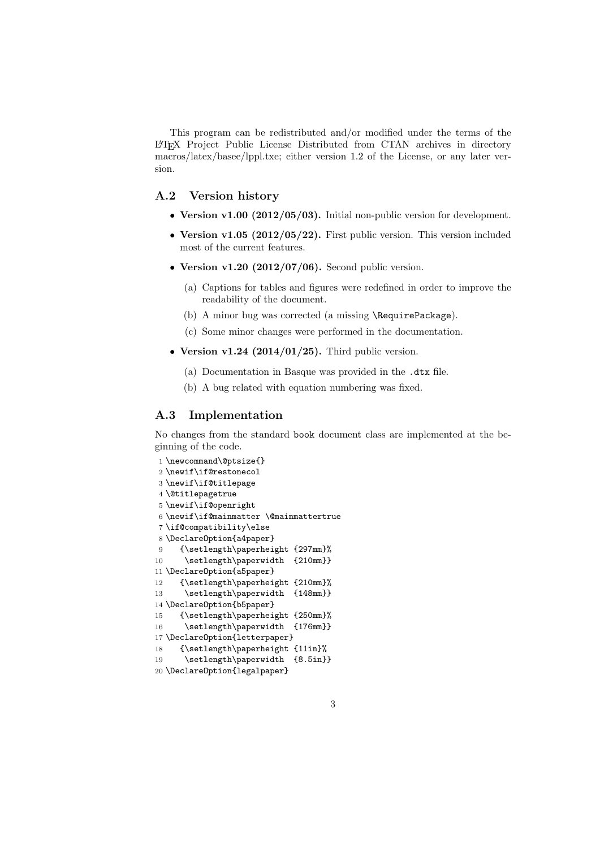This program can be redistributed and/or modified under the terms of the LATEX Project Public License Distributed from CTAN archives in directory macros/latex/basee/lppl.txe; either version 1.2 of the License, or any later version.

### A.2 Version history

- Version v1.00 (2012/05/03). Initial non-public version for development.
- Version v1.05 (2012/05/22). First public version. This version included most of the current features.
- Version v1.20  $(2012/07/06)$ . Second public version.
	- (a) Captions for tables and figures were redefined in order to improve the readability of the document.
	- (b) A minor bug was corrected (a missing \RequirePackage).
	- (c) Some minor changes were performed in the documentation.
- Version v1.24  $(2014/01/25)$ . Third public version.
	- (a) Documentation in Basque was provided in the .dtx file.
	- (b) A bug related with equation numbering was fixed.

#### A.3 Implementation

No changes from the standard book document class are implemented at the beginning of the code.

```
1 \newcommand\@ptsize{}
2 \newif\if@restonecol
3 \newif\if@titlepage
4 \@titlepagetrue
5 \newif\if@openright
6 \newif\if@mainmatter \@mainmattertrue
7 \if@compatibility\else
8 \DeclareOption{a4paper}
9 {\setlength\paperheight {297mm}%
10 \setlength\paperwidth {210mm}}
11 \DeclareOption{a5paper}
12 {\setlength\paperheight {210mm}%
13 \setlength\paperwidth {148mm}}
14 \DeclareOption{b5paper}
15 {\setlength\paperheight {250mm}%
16 \setlength\paperwidth {176mm}}
17 \DeclareOption{letterpaper}
18 {\setlength\paperheight {11in}%
19 \setlength\paperwidth {8.5in}}
20 \DeclareOption{legalpaper}
```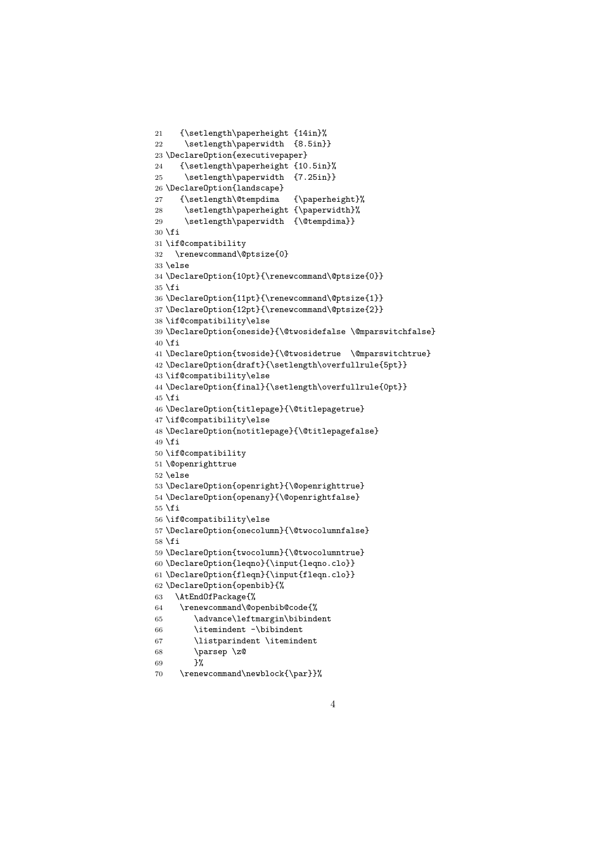```
21 {\setlength\paperheight {14in}%
22 \setlength\paperwidth {8.5in}}
23 \DeclareOption{executivepaper}
24 {\setlength\paperheight {10.5in}%
25 \setlength\paperwidth {7.25in}}
26 \DeclareOption{landscape}
27 {\setlength\@tempdima {\paperheight}%
28 \setlength\paperheight {\paperwidth}%
29 \setlength\paperwidth {\@tempdima}}
30 \setminus fi31 \if@compatibility
32 \renewcommand\@ptsize{0}
33 \else
34 \DeclareOption{10pt}{\renewcommand\@ptsize{0}}
35 \fi
36 \DeclareOption{11pt}{\renewcommand\@ptsize{1}}
37 \DeclareOption{12pt}{\renewcommand\@ptsize{2}}
38 \if@compatibility\else
39 \DeclareOption{oneside}{\@twosidefalse \@mparswitchfalse}
40 \text{ } \text{ } 4i
41 \DeclareOption{twoside}{\@twosidetrue \@mparswitchtrue}
42 \DeclareOption{draft}{\setlength\overfullrule{5pt}}
43 \if@compatibility\else
44 \DeclareOption{final}{\setlength\overfullrule{0pt}}
45 \fi
46 \DeclareOption{titlepage}{\@titlepagetrue}
47 \if@compatibility\else
48 \DeclareOption{notitlepage}{\@titlepagefalse}
49 \fi50 \if@compatibility
51 \@openrighttrue
52 \else
53 \DeclareOption{openright}{\@openrighttrue}
54 \DeclareOption{openany}{\@openrightfalse}
55 \fi
56 \if@compatibility\else
57 \DeclareOption{onecolumn}{\@twocolumnfalse}
58 \fi
59 \DeclareOption{twocolumn}{\@twocolumntrue}
60 \DeclareOption{leqno}{\input{leqno.clo}}
61 \DeclareOption{fleqn}{\input{fleqn.clo}}
62 \DeclareOption{openbib}{%
63 \AtEndOfPackage{%
64 \renewcommand\@openbib@code{%
65 \advance\leftmargin\bibindent
66 \itemindent -\bibindent
67 \listparindent \itemindent
68 \parsep \z@
69 }%
```

```
70 \renewcommand\newblock{\par}}%
```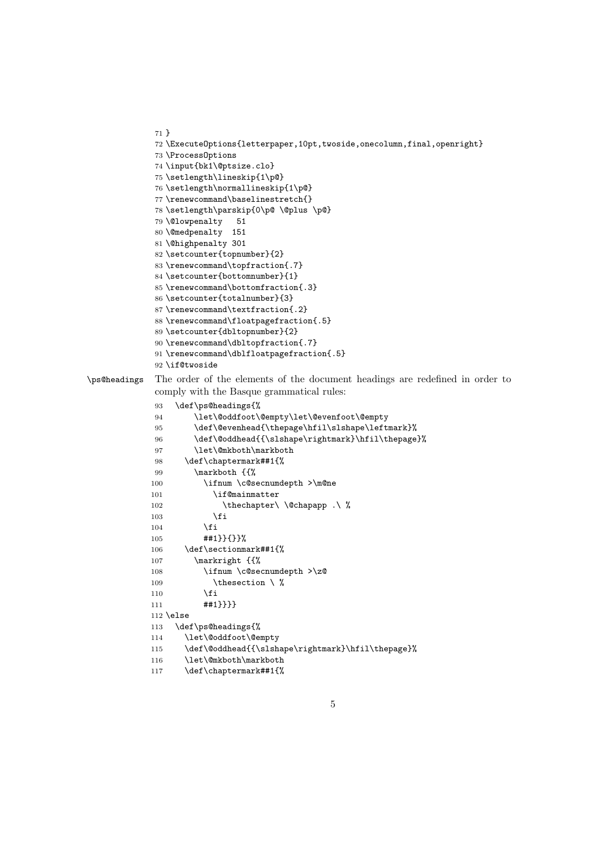```
71 }
72 \ExecuteOptions{letterpaper,10pt,twoside,onecolumn,final,openright}
73 \ProcessOptions
74 \input{bk1\@ptsize.clo}
75 \setlength\lineskip{1\p@}
76 \setlength\normallineskip{1\p@}
77 \renewcommand\baselinestretch{}
78 \setlength\parskip{0\p@ \@plus \p@}
79 \@lowpenalty 51
80 \@medpenalty 151
81 \@highpenalty 301
82 \setcounter{topnumber}{2}
83 \renewcommand\topfraction{.7}
84 \setcounter{bottomnumber}{1}
85 \renewcommand\bottomfraction{.3}
86 \setcounter{totalnumber}{3}
87 \renewcommand\textfraction{.2}
88 \renewcommand\floatpagefraction{.5}
89 \setcounter{dbltopnumber}{2}
90 \renewcommand\dbltopfraction{.7}
91 \renewcommand\dblfloatpagefraction{.5}
```

```
92 \if@twoside
```
\ps@headings The order of the elements of the document headings are redefined in order to comply with the Basque grammatical rules:

```
93 \def\ps@headings{%
94 \let\@oddfoot\@empty\let\@evenfoot\@empty
95 \def\@evenhead{\thepage\hfil\slshape\leftmark}%
96 \def\@oddhead{{\slshape\rightmark}\hfil\thepage}%
97 \let\@mkboth\markboth
98 \def\chaptermark##1{%
99 \markboth {{%
100 \ifnum \c@secnumdepth >\m@ne
101 \if@mainmatter
102 \thechapter\ \@chapapp .\ %
103 \qquad \qquad \text{ifi}104 \fi
105 ##1}}{}}%
106 \def\sectionmark##1{%
107 \markright {{%
108 \ifnum \c@secnumdepth >\z@
109 \theta \setminus \theta110 \overrightarrow{fi}111 ##1}}}}
112 \else
113 \def\ps@headings{%
114 \let\@oddfoot\@empty
115 \def\@oddhead{{\slshape\rightmark}\hfil\thepage}%
116 \let\@mkboth\markboth
117 \def\chaptermark##1{%
```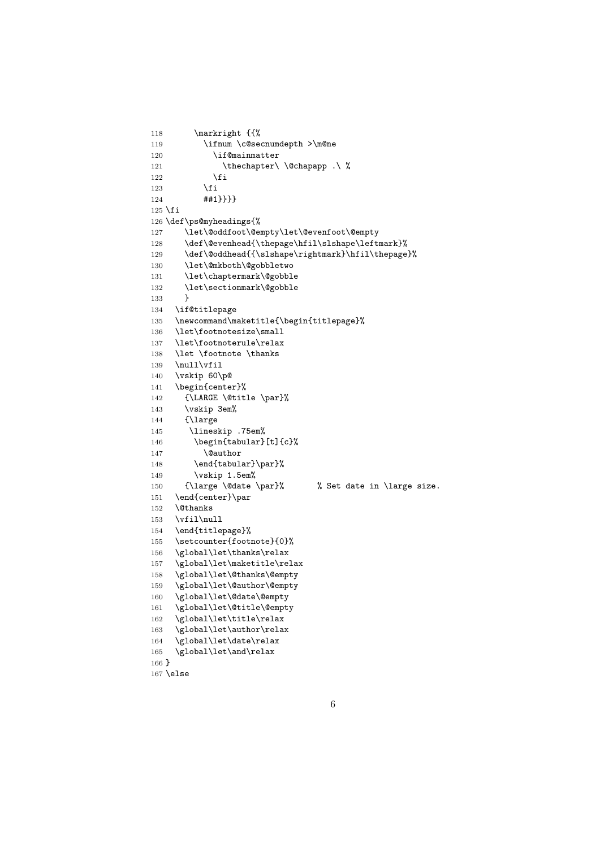```
118 \markright {{%
119 \ifnum \c@secnumdepth >\m@ne
120 \if@mainmatter
121 \thechapter\ \@chapapp .\ %
122 \qquad \qquad \fi
123 \qquad \qquad \text{if }124 ##1}}}}
125 \fi
126 \def\ps@myheadings{%
127 \let\@oddfoot\@empty\let\@evenfoot\@empty
128 \def\@evenhead{\thepage\hfil\slshape\leftmark}%
129 \def\@oddhead{{\slshape\rightmark}\hfil\thepage}%
130 \let\@mkboth\@gobbletwo
131 \let\chaptermark\@gobble
132 \let\sectionmark\@gobble
133 }
134 \if@titlepage
135 \newcommand\maketitle{\begin{titlepage}%
136 \let\footnotesize\small
137 \let\footnoterule\relax
138 \let \footnote \thanks
139 \null\vfil<br>140 \vskip 60\
    \vskip 60\p@
141 \begin{center}%
142 {\LARGE \@title \par}%
143 \vskip 3em%
144 {\large
145 \lineskip .75em%
146 \begin{tabular}[t]{c}%
147 \@author
148 \end{tabular}\par}%
149 \vskip 1.5em%
150 {\large \@date \par}% % Set date in \large size.
151 \end{center}\par
152 \@thanks
153 \forallil\null
154 \end{titlepage}%
155 \setcounter{footnote}{0}%
156 \global\let\thanks\relax
157 \global\let\maketitle\relax
158 \global\let\@thanks\@empty
159 \global\let\@author\@empty
160 \global\let\@date\@empty
161 \global\let\@title\@empty
162 \global\let\title\relax
163 \global\let\author\relax
164 \global\let\date\relax
165 \global\let\and\relax
166 }
167 \else
```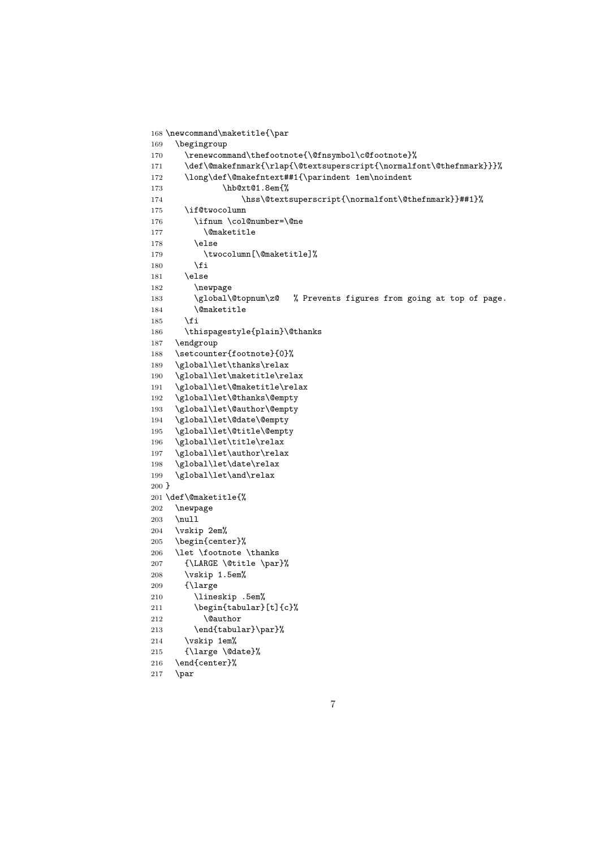```
168 \newcommand\maketitle{\par
169 \begingroup
170 \renewcommand\thefootnote{\@fnsymbol\c@footnote}%
171 \def\@makefnmark{\rlap{\@textsuperscript{\normalfont\@thefnmark}}}%
172 \long\def\@makefntext##1{\parindent 1em\noindent
173 \hb@xt@1.8em{%
174 \hss\@textsuperscript{\normalfont\@thefnmark}}##1}%
175 \if@twocolumn
176 \ifnum \col@number=\@ne
177 \@maketitle
178 \else
179 \twocolumn[\@maketitle]%
180 \fi
181 \else
182 \newpage
183 \global\@topnum\z@ % Prevents figures from going at top of page.
184 \@maketitle
185 \fi
186 \thispagestyle{plain}\@thanks
187 \endgroup
188 \setcounter{footnote}{0}%
189 \global\let\thanks\relax
190 \global\let\maketitle\relax
191 \global\let\@maketitle\relax
192 \global\let\@thanks\@empty
193 \global\let\@author\@empty
194 \global\let\@date\@empty
195 \global\let\@title\@empty
196 \global\let\title\relax
197 \global\let\author\relax
198 \global\let\date\relax
199 \global\let\and\relax
200 }
201 \def\@maketitle{%
202 \newpage
203 \null
204 \vskip 2em%
205 \begin{center}%
206 \let \footnote \thanks
207 {\LARGE \@title \par}%
208 \vskip 1.5em%
209 {\large
210 \lineskip .5em%
211 \begin{tabular}[t]{c}%
212 \@author
213 \end{tabular}\par}%
214 \vskip 1em%
215 {\large \@date}%
216 \end{center}%
```

```
217 \par
```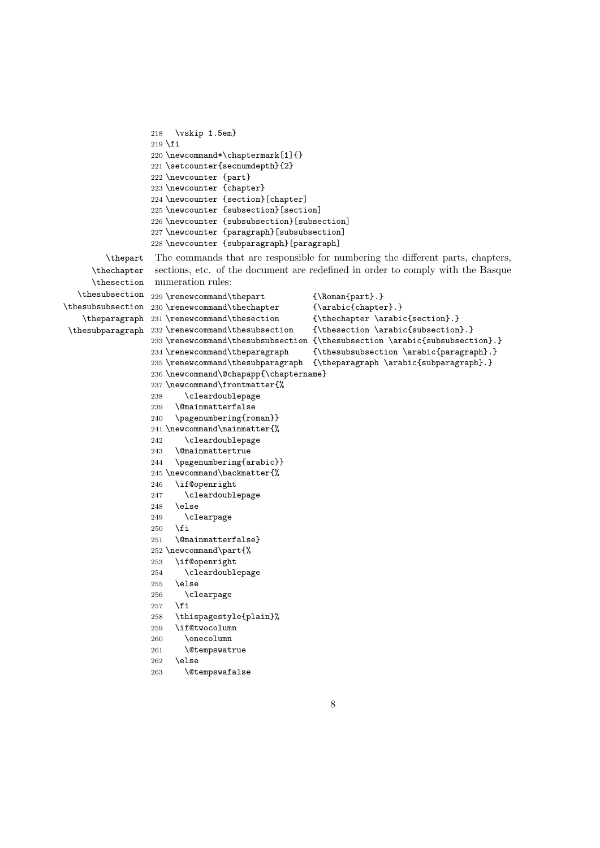```
218 \vskip 1.5em}
                 219 \fi
                 220 \newcommand*\chaptermark[1]{}
                 221 \setcounter{secnumdepth}{2}
                 222 \newcounter {part}
                 223 \newcounter {chapter}
                 224 \newcounter {section}[chapter]
                 225 \newcounter {subsection}[section]
                 226 \newcounter {subsubsection}[subsection]
                 227 \newcounter {paragraph}[subsubsection]
                 228 \newcounter {subparagraph}[paragraph]
        \thepart The commands that are responsible for numbering the different parts, chapters,
     \thechapter
     \thesection
  \thesubsection 229 \renewcommand\thepart {\Roman{part}.}
\thesubsubsection 230 \renewcommand\thechapter {\arabic{chapter}.}
   \theparagraph 231 \renewcommand\thesection
\thesubparagraph
232 \renewcommand\thesubsection {\thesection \arabic{subsection}.}
                  sections, etc. of the document are redefined in order to comply with the Basque
                  numeration rules:
                                                   {\text{section}}.}233\renewcommand\thesubsubsection {\thesubsection \arabic{subsubsection}.}
                 234 \renewcommand\theparagraph {\thesubsubsection \arabic{paragraph}.}
                 235 \renewcommand\thesubparagraph {\theparagraph \arabic{subparagraph}.}
                 236 \newcommand\@chapapp{\chaptername}
                 237 \newcommand\frontmatter{%
                 238 \cleardoublepage
                 239 \@mainmatterfalse
                 240 \pagenumbering{roman}}
                 241 \newcommand\mainmatter{%
                 242 \cleardoublepage
                 243 \@mainmattertrue
                 244 \pagenumbering{arabic}}
                 245 \newcommand\backmatter{%
                 246 \if@openright
                 247 \cleardoublepage
                 248 \else
                 249 \clearpage
                 250 \fi
                 251 \@mainmatterfalse}
                 252 \newcommand\part{%
                 253 \if@openright
                 254 \cleardoublepage
                 255 \else
                 256 \clearpage
                 257 \fi
                 258 \thispagestyle{plain}%
                 259 \if@twocolumn
                 260 \onecolumn
                 261 \@tempswatrue
                 262 \else
                 263 \@tempswafalse
```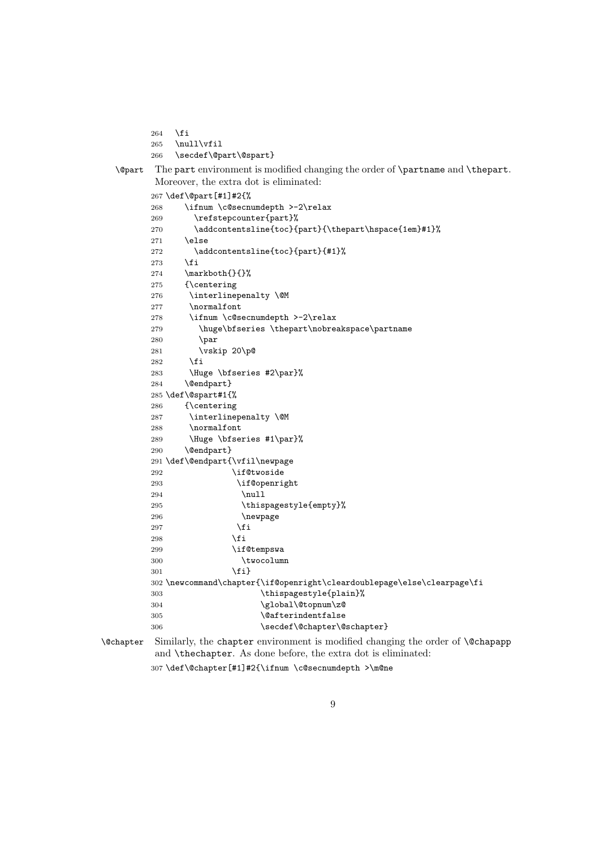```
264 \fi
```

```
265 \null\vfil
       266 \secdef\@part\@spart}
\@part The part environment is modified changing the order of \partname and \thepart.
        Moreover, the extra dot is eliminated:
       267 \def\@part[#1]#2{%
```

```
268 \ifnum \c@secnumdepth >-2\relax
269 \refstepcounter{part}%
270 \addcontentsline{toc}{part}{\thepart\hspace{1em}#1}%
271 \else
272 \addcontentsline{toc}{part}{#1}%
273 \ifmmode{\textstyle\bigwedge^{2}}\else{ 1273 \fi 1273
274 \markboth{}{}%
275 {\centering
276 \interlinepenalty \@M
277 \normalfont
278 \ifnum \c@secnumdepth >-2\relax
279 \huge\bfseries \thepart\nobreakspace\partname
280 \par
281 \vskip 20\p@
282 \fi
283 \Huge \bfseries #2\par}%
284 \@endpart}
285 \def\@spart#1{%
286 {\centering
287 \interlinepenalty \@M
288 \normalfont
289 \Huge \bfseries #1\par}%
290 \@endpart}
291 \def\@endpart{\vfil\newpage
292 \if@twoside
293 \if@openright
294 \null
295 \thispagestyle{empty}%
296 \newpage
297 \qquad \qquad \int fi
298 \qquad \qquad \int f299 \if@tempswa
300 \twocolumn
301 \quad \text{if} \quad \text{if} \quad302 \newcommand\chapter{\if@openright\cleardoublepage\else\clearpage\fi
303 \thispagestyle{plain}%
304 \global\@topnum\z@
305 \@afterindentfalse
306 \secdef\@chapter\@schapter}
```

```
\@chapter Similarly, the chapter environment is modified changing the order of \@chapapp
           and \thechapter. As done before, the extra dot is eliminated:
          307 \def\@chapter[#1]#2{\ifnum \c@secnumdepth >\m@ne
```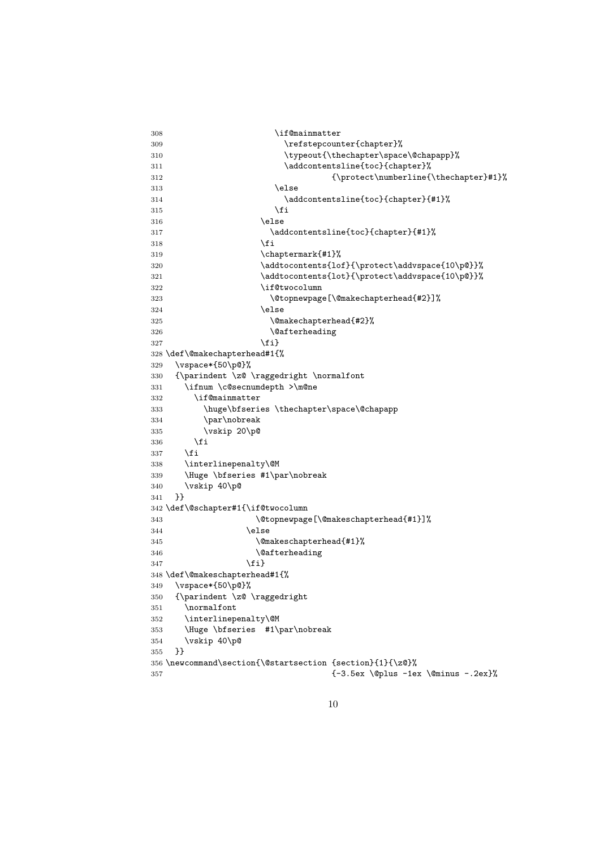```
308 \if@mainmatter
309 \refstepcounter{chapter}%
310 \typeout{\thechapter\space\@chapapp}%
311 \addcontentsline{toc}{chapter}%
312 {\propto \{\hbox{numberline{\theta}}\#1}\}313 \else
314 \addcontentsline{toc}{chapter}{#1}%
315 \quad \text{if}316 \text{label}317 \addcontentsline{toc}{chapter}{#1}%
318 \quad \text{if}319 \chaptermark{#1}%
320 \addtocontents{lof}{\protect\addvspace{10\p@}}%
321 \addtocontents{lot}{\protect\addvspace{10\p@}}%
322 \if@twocolumn
323 \@topnewpage[\@makechapterhead{#2}]%
324 \qquad \qquad \qquad \qquad \qquad \qquad \qquad \qquad \qquad \qquad \qquad \qquad \qquad \qquad \qquad \qquad \qquad \qquad \qquad \qquad \qquad \qquad \qquad \qquad \qquad \qquad \qquad \qquad \qquad \qquad \qquad \qquad \qquad \qquad \qquad \qquad325 \@makechapterhead{#2}%
326 \@afterheading
327 \{f_i\}328 \def\@makechapterhead#1{%
329 \vspace*{50\p@}%
330 {\parindent \z@ \raggedright \normalfont
331 \ifnum \c@secnumdepth >\m@ne
332 \if@mainmatter
333 \huge\bfseries \thechapter\space\@chapapp
334 \par\nobreak
335 \vskip 20\p@
336 \fi
337 \fi
338 \interlinepenalty\@M
339 \Huge \bfseries #1\par\nobreak
340 \vskip 40\p@
341 }}
342 \def\@schapter#1{\if@twocolumn
343 \@topnewpage[\@makeschapterhead{#1}]%
344 \else
345 \@makeschapterhead{#1}%
346 \@afterheading
347 \quad \text{If } i348 \def\@makeschapterhead#1{%
349 \vspace*{50\p@}%
350 {\parindent \z@ \raggedright
351 \normalfont
352 \interlinepenalty\@M
353 \Huge \bfseries #1\par\nobreak
354 \vskip 40\p@
355 }}
356 \newcommand\section{\@startsection {section}{1}{\z@}%
357 {-3.5ex \@plus -1ex \@minus -.2ex}%
```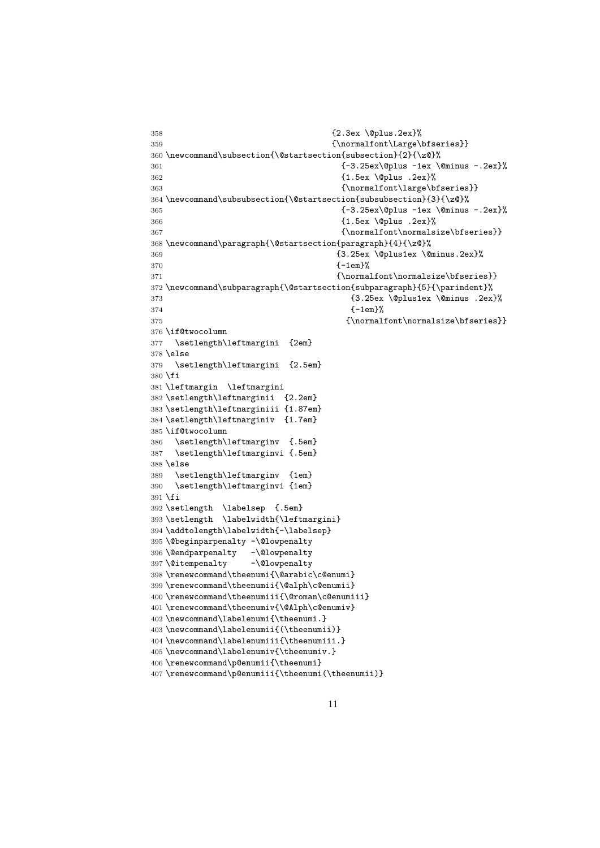```
358 {2.3ex \@plus.2ex}%
359 {\normalfont\Large\bfseries}}
360 \newcommand\subsection{\@startsection{subsection}{2}{\z@}%
361 {-3.25ex\@plus -1ex \@minus -.2ex}%
362 {1.5ex \@plus .2ex}%
363 {\normalfont\large\bfseries}}
364 \newcommand\subsubsection{\@startsection{subsubsection}{3}{\z@}%
365 {-3.25ex\@plus -1ex \@minus -.2ex}%
366 {1.5ex \@plus .2ex}%
367 {\normalfont\normalsize\bfseries}}
368 \newcommand\paragraph{\@startsection{paragraph}{4}{\z@}%
369 {3.25ex \@plus1ex \@minus.2ex}%
370 \{-1 \text{em} \}%
371 {\normalfont\normalsize\bfseries}}
372 \newcommand\subparagraph{\@startsection{subparagraph}{5}{\parindent}%
373 {3.25ex \@plus1ex \@minus .2ex}%
374 \{-1 \text{em}\}\%375 {\normalfont\normalsize\bfseries}}
376 \if@twocolumn
377 \setlength\leftmargini {2em}
378 \else
379 \setlength\leftmargini {2.5em}
380 \fi
381 \leftmargin \leftmargini
382 \setlength\leftmarginii {2.2em}
383 \setlength\leftmarginiii {1.87em}
384 \setlength\leftmarginiv {1.7em}
385 \if@twocolumn
386 \setlength\leftmarginv {.5em}
387 \setlength\leftmarginvi {.5em}
388 \else
389 \setlength\leftmarginv {1em}
390 \setlength\leftmarginvi {1em}
391 \fi
392 \setlength \labelsep {.5em}
393 \setlength \labelwidth{\leftmargini}
394 \addtolength\labelwidth{-\labelsep}
395 \@beginparpenalty -\@lowpenalty
396 \@endparpenalty -\@lowpenalty
397 \@itempenalty -\@lowpenalty
398 \renewcommand\theenumi{\@arabic\c@enumi}
399 \renewcommand\theenumii{\@alph\c@enumii}
400 \renewcommand\theenumiii{\@roman\c@enumiii}
401 \renewcommand\theenumiv{\@Alph\c@enumiv}
402 \newcommand\labelenumi{\theenumi.}
403 \newcommand\labelenumii{(\theenumii)}
404 \newcommand\labelenumiii{\theenumiii.}
405 \newcommand\labelenumiv{\theenumiv.}
406 \renewcommand\p@enumii{\theenumi}
407 \renewcommand\p@enumiii{\theenumi(\theenumii)}
```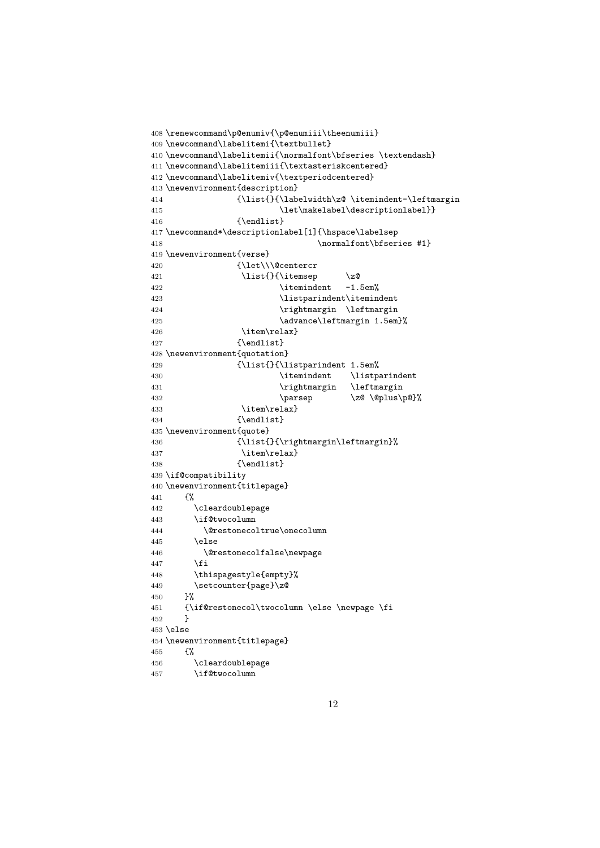```
408 \renewcommand\p@enumiv{\p@enumiii\theenumiii}
409 \newcommand\labelitemi{\textbullet}
410 \newcommand\labelitemii{\normalfont\bfseries \textendash}
411 \newcommand\labelitemiii{\textasteriskcentered}
412 \newcommand\labelitemiv{\textperiodcentered}
413 \newenvironment{description}
414 {\list{}{\labelwidth\z@ \itemindent-\leftmargin
415 \let\makelabel\descriptionlabel}}
416 {\endlist}
417 \newcommand*\descriptionlabel[1]{\hspace\labelsep
418 \normalfont\bfseries #1}
419 \newenvironment{verse}
420 {\let\\\@centercr
421 \list{}{\itemsep \z@
422 \itemindent -1.5em%
423 \listparindent\itemindent
424 \rightmargin \leftmargin
425 \dvance\leftmargin 1.5em}%
426 \item\relax}
427 {\endlist}
428 \newenvironment{quotation}
429 {\list{}{\listparindent 1.5em%
430 \itemindent \listparindent
431 \rightmargin \leftmargin
432 \parsep \z@ \@plus\p@}%
433 \item\relax}
434 {\endlist}
435 \newenvironment{quote}
436 {\list{}{\rightmargin\leftmargin}%
437 \item\relax}
438 {\endlist}
439 \if@compatibility
440 \newenvironment{titlepage}
441 {%
442 \cleardoublepage
443 \if@twocolumn
444 \@restonecoltrue\onecolumn
445 \else
446 \@restonecolfalse\newpage
447 \fi
448 \thispagestyle{empty}%
449 \setcounter{page}\z@
450 }%
451 {\if@restonecol\twocolumn \else \newpage \fi
452 }
453 \else
454 \newenvironment{titlepage}
455 {%
456 \cleardoublepage
457 \if@twocolumn
```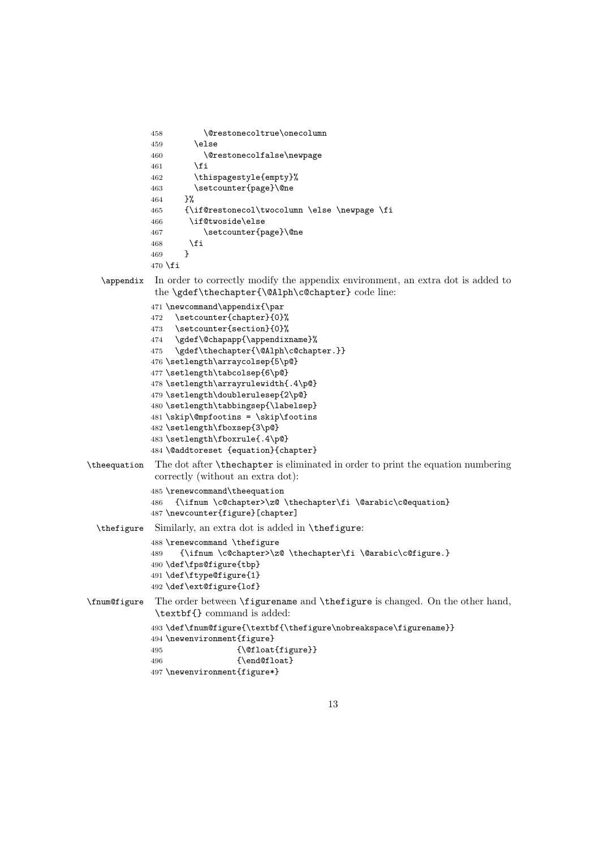```
458 \@restonecoltrue\onecolumn
             459 \else
             460 \@restonecolfalse\newpage
             461 \fi
             462 \thispagestyle{empty}%
             463 \setcounter{page}\@ne
             464 }%
             465 {\if@restonecol\twocolumn \else \newpage \fi
             466 \if@twoside\else
             467 \setcounter{page}\@ne
             468 \fi
             469 }
             470 \fi
  \appendix In order to correctly modify the appendix environment, an extra dot is added to
             the \gdef\thechapter{\@Alph\c@chapter} code line:
             471 \newcommand\appendix{\par
             472 \setcounter{chapter}{0}%
             473 \setcounter{section}{0}%
             474 \gdef\@chapapp{\appendixname}%
             475 \gdef\thechapter{\@Alph\c@chapter.}}
             476 \setlength\arraycolsep{5\p@}
             477 \setlength\tabcolsep{6\p@}
             478 \setlength\arrayrulewidth{.4\p@}
             479 \setlength\doublerulesep{2\p@}
             480 \setlength\tabbingsep{\labelsep}
             481 \skip\@mpfootins = \skip\footins
             482 \setlength\fboxsep{3\p@}
             483 \setlength\fboxrule{.4\p@}
             484 \@addtoreset {equation}{chapter}
\theequation The dot after \thechapter is eliminated in order to print the equation numbering
             correctly (without an extra dot):
             485 \renewcommand\theequation
             486 {\ifnum \c@chapter>\z@ \thechapter\fi \@arabic\c@equation}
             487 \newcounter{figure}[chapter]
  \thefigure Similarly, an extra dot is added in \thefigure:
             488 \renewcommand \thefigure
             489 {\ifnum \c@chapter>\z@ \thechapter\fi \@arabic\c@figure.}
             490 \def\fps@figure{tbp}
             491 \def\ftype@figure{1}
             492 \def\ext@figure{lof}
\fnum@figure The order between \figurename and \thefigure is changed. On the other hand,
             \textbf{} command is added:
             493 \def\fnum@figure{\textbf{\thefigure\nobreakspace\figurename}}
             494 \newenvironment{figure}
             495 {\@float{figure}}
             496 {\end@float}
             497 \newenvironment{figure*}
```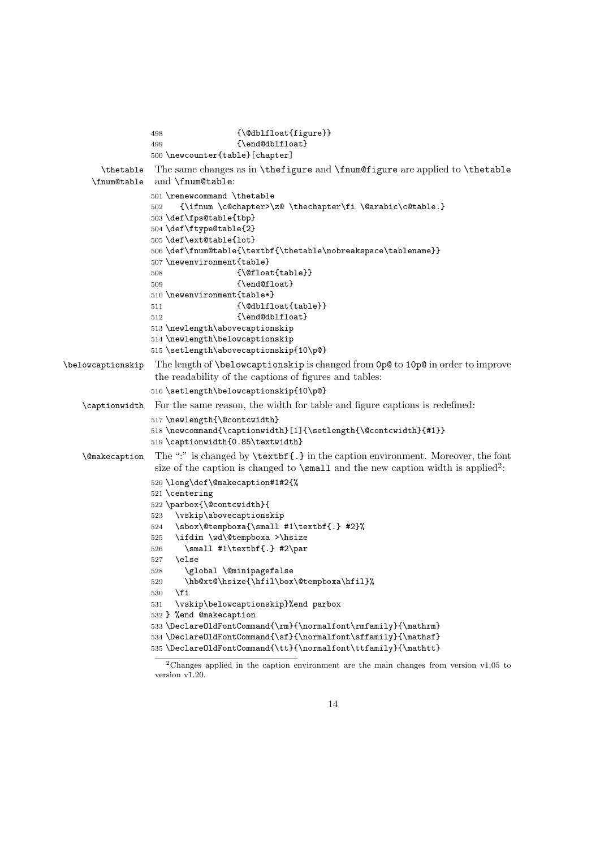```
498 {\@dblfloat{figure}}
                  499 {\end@dblfloat}
                  500 \newcounter{table}[chapter]
        \thetable The same changes as in \thefigure and \fnum@figure are applied to \thetable
     \fnum@table and \fnum@table:
                  501 \renewcommand \thetable
                  502 {\ifnum \c@chapter>\z@ \thechapter\fi \@arabic\c@table.}
                  503 \def\fps@table{tbp}
                  504 \def\ftype@table{2}
                  505 \def\ext@table{lot}
                  506 \def\fnum@table{\textbf{\thetable\nobreakspace\tablename}}
                  507 \newenvironment{table}
                  508 {\@float{table}}
                  509 {\end@float}
                  510 \newenvironment{table*}
                  511 {\@dblfloat{table}}
                  512 {\end@dblfloat}
                  513 \newlength\abovecaptionskip
                  514 \newlength\belowcaptionskip
                  515 \setlength\abovecaptionskip{10\p@}
\belowcaptionskip The length of \belowcaptionskip is changed from 0p@ to 10p@ in order to improve
                   the readability of the captions of figures and tables:
                  516 \setlength\belowcaptionskip{10\p@}
   \captionwidth For the same reason, the width for table and figure captions is redefined:
                  517 \newlength{\@contcwidth}
                  518 \newcommand{\captionwidth}[1]{\setlength{\@contcwidth}{#1}}
                  519 \captionwidth{0.85\textwidth}
   \@makecaption The ":" is changed by \textbf{.} in the caption environment. Moreover, the font
                   size of the caption is changed to \smallsetminus small and the new caption width is applied<sup>2</sup>:
                  520 \long\def\@makecaption#1#2{%
                  521 \centering
                  522 \parbox{\@contcwidth}{
                  523 \vskip\abovecaptionskip
                  524 \sbox\@tempboxa{\small #1\textbf{.} #2}%
                  525 \ifdim \wd\@tempboxa >\hsize
                  526 \small #1\textbf{.} #2\par
                  527 \else
                  528 \global \@minipagefalse
                  529 \hb@xt@\hsize{\hfil\box\@tempboxa\hfil}%
                  530 \fi
                  531 \vskip\belowcaptionskip}%end parbox
                  532 } %end @makecaption
                  533 \DeclareOldFontCommand{\rm}{\normalfont\rmfamily}{\mathrm}
                  534 \DeclareOldFontCommand{\sf}{\normalfont\sffamily}{\mathsf}
                  535\DeclareOldFontCommand{\tt}{\normalfont\ttfamily}{\mathtt}
```
Changes applied in the caption environment are the main changes from version v1.05 to version v1.20.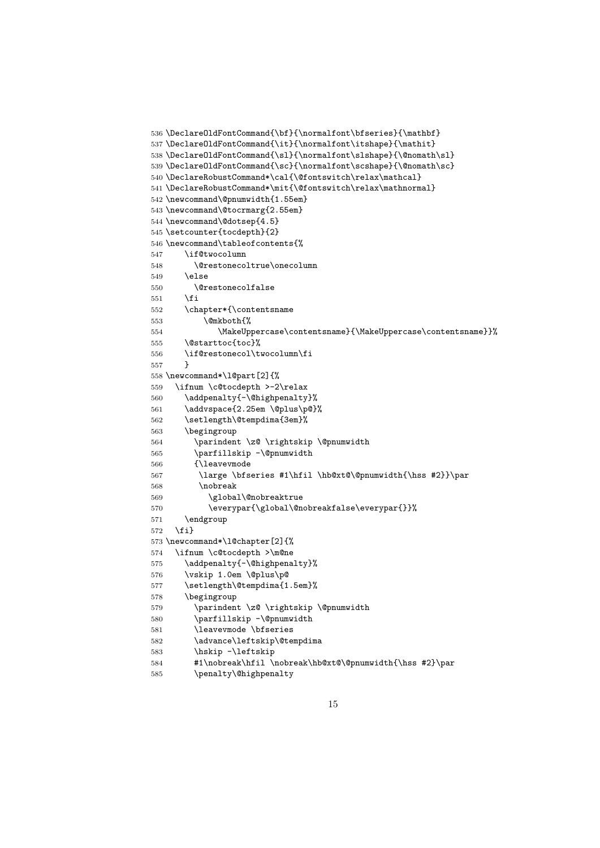```
536 \DeclareOldFontCommand{\bf}{\normalfont\bfseries}{\mathbf}
537\DeclareOldFontCommand{\it}{\normalfont\itshape}{\mathit}
538\DeclareOldFontCommand{\sl}{\normalfont\slshape}{\@nomath\sl}
539 \DeclareOldFontCommand{\sc}{\normalfont\scshape}{\@nomath\sc}
540 \DeclareRobustCommand*\cal{\@fontswitch\relax\mathcal}
541 \DeclareRobustCommand*\mit{\@fontswitch\relax\mathnormal}
542 \newcommand\@pnumwidth{1.55em}
543 \newcommand\@tocrmarg{2.55em}
544 \newcommand\@dotsep{4.5}
545 \setcounter{tocdepth}{2}
546 \newcommand\tableofcontents{%
547 \if@twocolumn
548 \@restonecoltrue\onecolumn
549 \else
550 \@restonecolfalse
551 \fi
552 \chapter*{\contentsname
553 \text{Qmkboth}?
554 \MakeUppercase\contentsname}{\MakeUppercase\contentsname}}%
555 \@starttoc{toc}%
556 \if@restonecol\twocolumn\fi
557 }
558 \newcommand*\l@part[2]{%
559 \ifnum \c@tocdepth >-2\relax
560 \addpenalty{-\@highpenalty}%
561 \addvspace{2.25em \@plus\p@}%
562 \setlength\@tempdima{3em}%
563 \begingroup
564 \parindent \z@ \rightskip \@pnumwidth
565 \parfillskip -\@pnumwidth
566 {\leavevmode
567 \large \bfseries #1\hfil \hb@xt@\@pnumwidth{\hss #2}}\par
568 \nobreak
569 \global\@nobreaktrue
570 \everypar{\global\@nobreakfalse\everypar{}}%
571 \endgroup
572 \fi}
573 \newcommand*\l@chapter[2]{%
574 \ifnum \c@tocdepth >\m@ne
575 \addpenalty{-\@highpenalty}%
576 \vskip 1.0em \@plus\p@
577 \setlength\@tempdima{1.5em}%
578 \begingroup
579 \parindent \z@ \rightskip \@pnumwidth
580 \parfillskip -\@pnumwidth
581 \leavevmode \bfseries
582 \advance\leftskip\@tempdima
583 \hskip -\leftskip
584 #1\nobreak\hfil \nobreak\hb@xt@\@pnumwidth{\hss #2}\par
585 \penalty\@highpenalty
```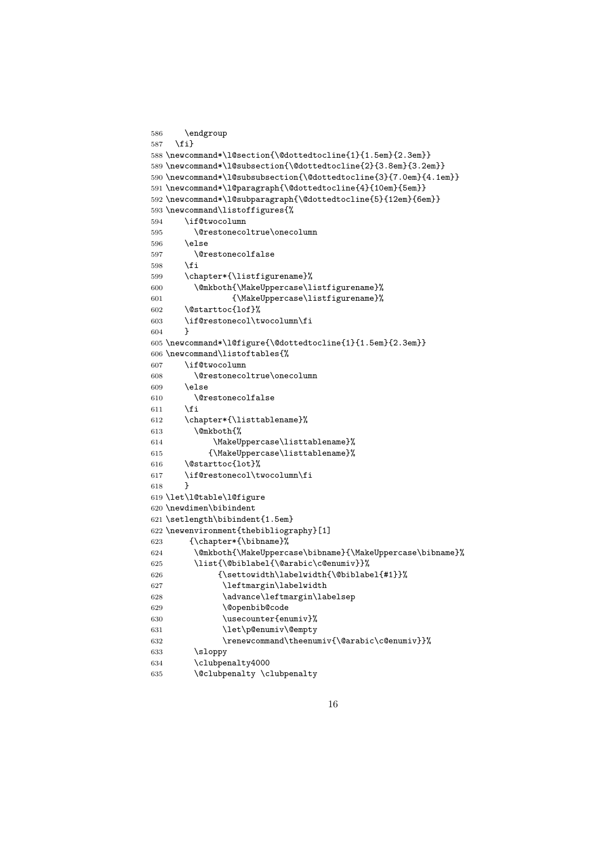```
586 \endgroup
587 \fi}
588 \newcommand*\l@section{\@dottedtocline{1}{1.5em}{2.3em}}
589 \newcommand*\l@subsection{\@dottedtocline{2}{3.8em}{3.2em}}
590 \newcommand*\l@subsubsection{\@dottedtocline{3}{7.0em}{4.1em}}
591 \newcommand*\l@paragraph{\@dottedtocline{4}{10em}{5em}}
592 \newcommand*\l@subparagraph{\@dottedtocline{5}{12em}{6em}}
593 \newcommand\listoffigures{%
594 \if@twocolumn
595 \@restonecoltrue\onecolumn
596 \else
597 \@restonecolfalse
598 \fi
599 \chapter*{\listfigurename}%
600 \@mkboth{\MakeUppercase\listfigurename}%
601 {\MakeUppercase\listfigurename}%
602 \@starttoc{lof}%
603 \if@restonecol\twocolumn\fi
604 }
605 \newcommand*\l@figure{\@dottedtocline{1}{1.5em}{2.3em}}
606 \newcommand\listoftables{%
607 \if@twocolumn
608 \@restonecoltrue\onecolumn
609 \else
610 \@restonecolfalse
611 \fi
612 \chapter*{\listtablename}%
613 \@mkboth{%
614 \MakeUppercase\listtablename}%
615 {\MakeUppercase\listtablename}%
616 \@starttoc{lot}%
617 \if@restonecol\twocolumn\fi
618 }
619 \let\l@table\l@figure
620 \newdimen\bibindent
621 \setlength\bibindent{1.5em}
622 \newenvironment{thebibliography}[1]
623 {\chapter*{\bibname}%
624 \@mkboth{\MakeUppercase\bibname}{\MakeUppercase\bibname}%
625 \list{\@biblabel{\@arabic\c@enumiv}}%
626 {\settowidth\labelwidth{\@biblabel{#1}}%
627 \leftmargin\labelwidth
628 \advance\leftmargin\labelsep
629 \@openbib@code
630 \usecounter{enumiv}%
631 \let\p@enumiv\@empty
632 \renewcommand\theenumiv{\@arabic\c@enumiv}}%
633 \sloppy
634 \clubpenalty4000
635 \@clubpenalty \clubpenalty
```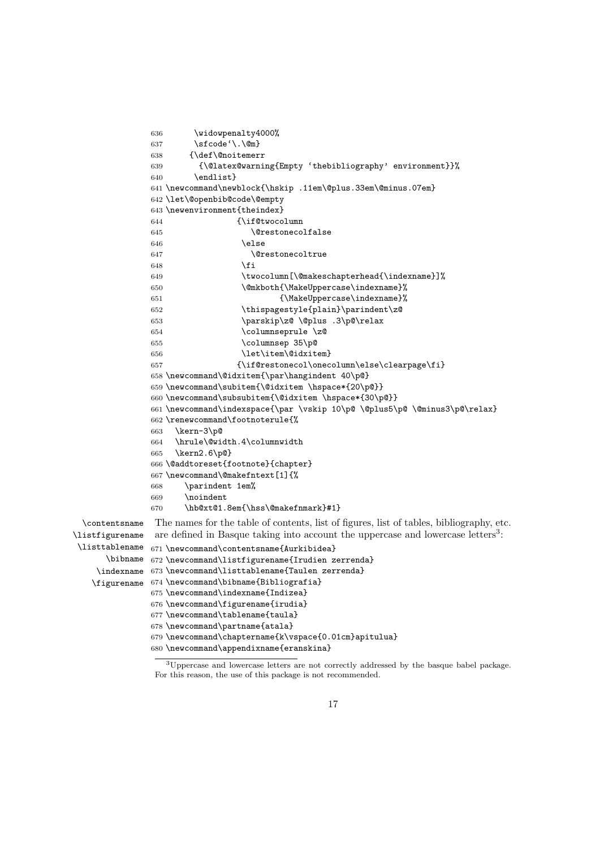```
636 \widowpenalty4000%
               637 \sfcode'\.\@m}
               638 {\def\@noitemerr
               639 {\@latex@warning{Empty 'thebibliography' environment}}%
              640 \endlist}
              641 \newcommand\newblock{\hskip .11em\@plus.33em\@minus.07em}
              642 \let\@openbib@code\@empty
              643 \newenvironment{theindex}
              644 \{\iota\} 644645 \@restonecolfalse
              646 \text{else}647 \\\\\\\\\\\\\\tcrestonecoltrue
              648 \fi
              649 \twocolumn[\@makeschapterhead{\indexname}]%
              650 \@mkboth{\MakeUppercase\indexname}%
               651 {\MakeUppercase\indexname}%
               652 \thispagestyle{plain}\parindent\z@
              653 \parskip\z@ \@plus .3\p@\relax
              654 \columnseprule \z@
              655 \columnsep 35\p@
              656 \let\item\@idxitem}
              657 {\if@restonecol\onecolumn\else\clearpage\fi}
              658 \newcommand\@idxitem{\par\hangindent 40\p@}
              659 \newcommand\subitem{\@idxitem \hspace*{20\p@}}
               660 \newcommand\subsubitem{\@idxitem \hspace*{30\p@}}
               661 \newcommand\indexspace{\par \vskip 10\p@ \@plus5\p@ \@minus3\p@\relax}
               662 \renewcommand\footnoterule{%
              663 \kern-3\p@
              664 \hrule\@width.4\columnwidth
               665 \kern2.6\p@}
               666 \@addtoreset{footnote}{chapter}
               667 \newcommand\@makefntext[1]{%
               668 \parindent 1em%
               669 \noindent
               670 \hb@xt@1.8em{\hss\@makefnmark}#1}
 \contentsname The names for the table of contents, list of figures, list of tables, bibliography, etc.
\listfigurename
 \listtablename
      \bibname
    \indexname
673 \newcommand\listtablename{Taulen zerrenda}
   \figurename
674 \newcommand\bibname{Bibliografia}
                are defined in Basque taking into account the uppercase and lowercase letters<sup>3</sup>:
              671 \newcommand\contentsname{Aurkibidea}
              672 \newcommand\listfigurename{Irudien zerrenda}
              675 \newcommand\indexname{Indizea}
              676 \newcommand\figurename{irudia}
              677 \newcommand\tablename{taula}
              678 \newcommand\partname{atala}
              679 \newcommand\chaptername{k\vspace{0.01cm}apitulua}
              680 \newcommand\appendixname{eranskina}
```
Uppercase and lowercase letters are not correctly addressed by the basque babel package. For this reason, the use of this package is not recommended.